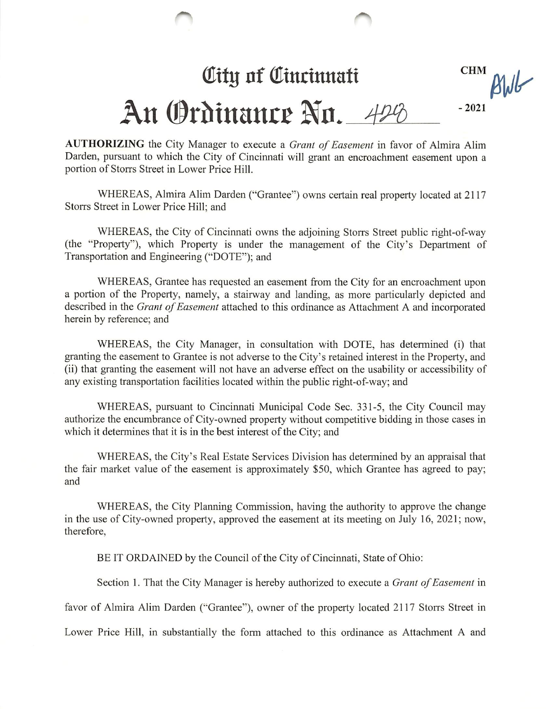## City of Cincinnati

**CHM** BWG

## An Ordinance No. 428 -2021

AUTHORIZING the City Manager to execute a Grant of Easement in favor of Almira Alim Darden, pursuant to which the City of Cincinnati will grant an encroachment easement upon a portion of Storrs Street in Lower Price Hill.

WHEREAS, Almira Alim Darden ("Grantee") owns certain real property located at 2117 Storrs Street in Lower Price Hill; and

WHEREAS, the City of Cincinnati owns the adjoining Storrs Street public right-of-way (the "Property"), which Property is under the management of the City's Department of Transportation and Engineering ("DOTE"); and

WHEREAS, Grantee has requested an easement from the City for an encroachment upon a portion of the Property, namely, a stairway and landing, as more particularly depicted and described in the Grant of Easement attached to this ordinance as Attachment A and incorporated herein by reference; and

WHEREAS, the City Manager, in consultation with DOTE, has determined (i) that granting the easement to Grantee is not adverse to the City's retained interest in the Property, and (ii) that granting the easement will not have an adverse effect on the usability or accessibility of any existing transportation facilities located within the public right-of-way; and

WHEREAS, pursuant to Cincinnati Municipal Code Sec. 331-5, the City Council may authorize the encumbrance of City-owned property without competitive bidding in those cases in which it determines that it is in the best interest of the City; and

WHEREAS, the City's Real Estate Services Division has determined by an appraisal that the fair market value of the easement is approximately \$50, which Grantee has agreed to pay; and

WHEREAS, the City Planning Commission, having the authority to approve the change in the use of City-owned property, approved the easement at its meeting on July 16, 2021; now, therefore,

BE IT ORDAINED by the Council of the City of Cincinnati, State of Ohio:

Section 1. That the City Manager is hereby authorized to execute a Grant of Easement in

favor of Almira Alim Darden ("Grantee"), owner of the property located 2117 Storrs Street in

Lower Price Hill, in substantially the form attached to this ordinance as Attachment A and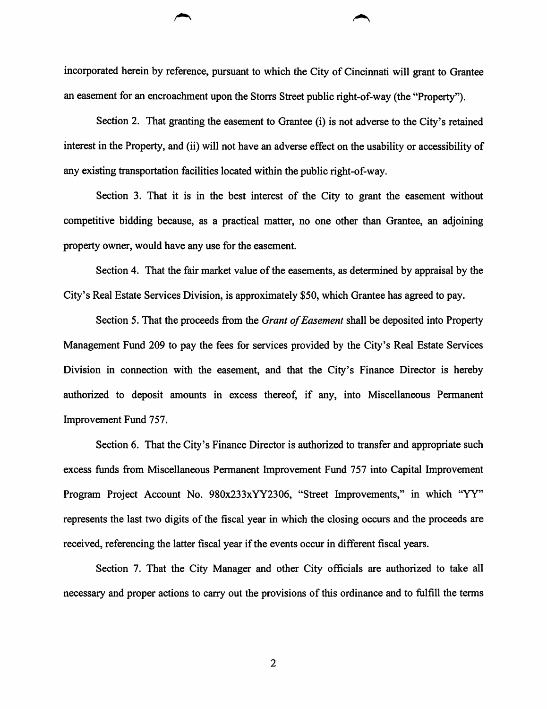incorporated herein by reference, pursuant to which the City of Cincinnati will grant to Grantee an easement for an encroachment upon the Storrs Street public right-of-way (the "Property").

Section 2. That granting the easement to Grantee (i) is not adverse to the City's retained interest in the Property, and (ii) will not have an adverse effect on the usability or accessibility of any existing transportation facilities located within the public right-of-way.

Section 3. That it is in the best interest of the City to grant the easement without competitive bidding because, as a practical matter, no one other than Grantee, an adjoining property owner, would have any use for the easement.

Section 4. That the fair market value of the easements, as determined by appraisal by the City's Real Estate Services Division, is approximately \$50, which Grantee has agreed to pay.

Section 5. That the proceeds from the *Grant of Easement* shall be deposited into Property Management Fimd 209 to pay the fees for services provided by the City's Real Estate Services Division in connection with the easement, and that the City's Finance Director is hereby authorized to deposit amounts in excess thereof, if any, into Miscellaneous Permanent Improvement Fund 757.

Section 6. That the City's Finance Director is authorized to transfer and appropriate such excess funds from Miscellaneous Permanent Improvement Fund 757 into Capital Improvement Program Project Account No. 980x233xYY2306, "Street Improvements," in which "YY" represents the last two digits of the fiscal year in which the closing occurs and the proceeds are received, referencing the latter fiscal year if the events occur in different fiscal years.

Section 7. That the City Manager and other City officials are authorized to take all necessary and proper actions to carry out the provisions of this ordinance and to fulfill the terms

 $\overline{2}$